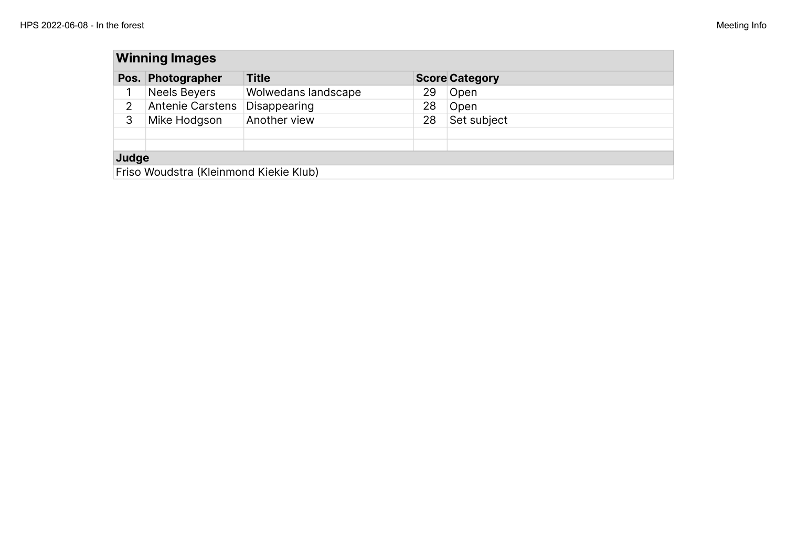| <b>Winning Images</b> |                                        |                     |    |                       |  |  |  |
|-----------------------|----------------------------------------|---------------------|----|-----------------------|--|--|--|
| Pos. $\vert$          | Photographer                           | <b>Title</b>        |    | <b>Score Category</b> |  |  |  |
|                       | <b>Neels Beyers</b>                    | Wolwedans landscape | 29 | Open                  |  |  |  |
| 2                     | Antenie Carstens                       | Disappearing        | 28 | Open                  |  |  |  |
| 3                     | Mike Hodgson                           | Another view        | 28 | Set subject           |  |  |  |
|                       |                                        |                     |    |                       |  |  |  |
| Judge                 |                                        |                     |    |                       |  |  |  |
|                       | Friso Woudstra (Kleinmond Kiekie Klub) |                     |    |                       |  |  |  |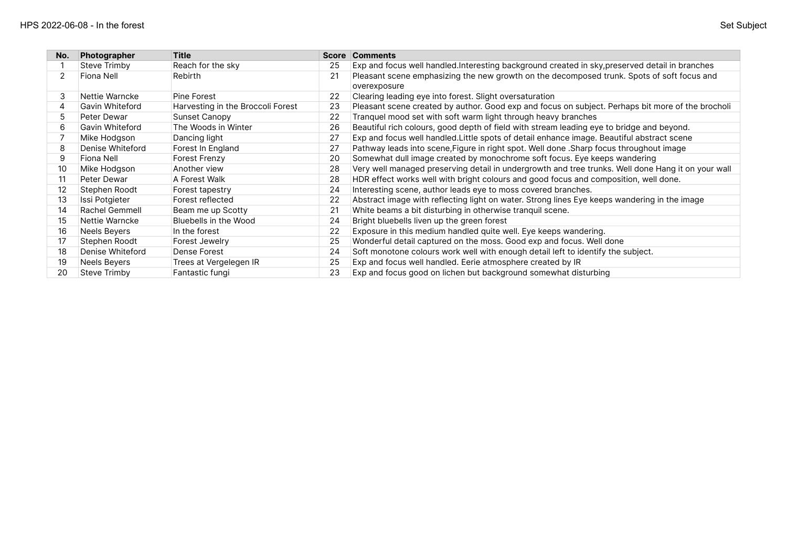| No. | Photographer        | <b>Title</b>                      | <b>Score</b> | <b>Comments</b>                                                                                            |
|-----|---------------------|-----------------------------------|--------------|------------------------------------------------------------------------------------------------------------|
|     | Steve Trimby        | Reach for the sky                 | 25           | Exp and focus well handled. Interesting background created in sky, preserved detail in branches            |
|     | Fiona Nell          | Rebirth                           | 21           | Pleasant scene emphasizing the new growth on the decomposed trunk. Spots of soft focus and<br>overexposure |
| 3   | Nettie Warncke      | Pine Forest                       | 22           | Clearing leading eye into forest. Slight oversaturation                                                    |
| 4   | Gavin Whiteford     | Harvesting in the Broccoli Forest | 23           | Pleasant scene created by author. Good exp and focus on subject. Perhaps bit more of the brocholi          |
| 5   | Peter Dewar         | Sunset Canopy                     | 22           | Tranquel mood set with soft warm light through heavy branches                                              |
| 6   | Gavin Whiteford     | The Woods in Winter               | 26           | Beautiful rich colours, good depth of field with stream leading eye to bridge and beyond.                  |
|     | Mike Hodgson        | Dancing light                     | 27           | Exp and focus well handled. Little spots of detail enhance image. Beautiful abstract scene                 |
| 8   | Denise Whiteford    | Forest In England                 | 27           | Pathway leads into scene, Figure in right spot. Well done . Sharp focus throughout image                   |
| 9   | Fiona Nell          | Forest Frenzy                     | 20           | Somewhat dull image created by monochrome soft focus. Eye keeps wandering                                  |
| 10  | Mike Hodgson        | Another view                      | 28           | Very well managed preserving detail in undergrowth and tree trunks. Well done Hang it on your wall         |
| 11  | Peter Dewar         | A Forest Walk                     | 28           | HDR effect works well with bright colours and good focus and composition, well done.                       |
| 12  | Stephen Roodt       | Forest tapestry                   | 24           | Interesting scene, author leads eye to moss covered branches.                                              |
| 13  | Issi Potgieter      | Forest reflected                  | 22           | Abstract image with reflecting light on water. Strong lines Eye keeps wandering in the image               |
| 14  | Rachel Gemmell      | Beam me up Scotty                 | 21           | White beams a bit disturbing in otherwise tranquil scene.                                                  |
| 15  | Nettie Warncke      | Bluebells in the Wood             | 24           | Bright bluebells liven up the green forest                                                                 |
| 16  | <b>Neels Beyers</b> | In the forest                     | 22           | Exposure in this medium handled quite well. Eye keeps wandering.                                           |
| 17  | Stephen Roodt       | Forest Jewelry                    | 25           | Wonderful detail captured on the moss. Good exp and focus. Well done                                       |
| 18  | Denise Whiteford    | Dense Forest                      | 24           | Soft monotone colours work well with enough detail left to identify the subject.                           |
| 19  | <b>Neels Beyers</b> | Trees at Vergelegen IR            | 25           | Exp and focus well handled. Eerie atmosphere created by IR                                                 |
| 20  | Steve Trimby        | Fantastic fungi                   | 23           | Exp and focus good on lichen but background somewhat disturbing                                            |